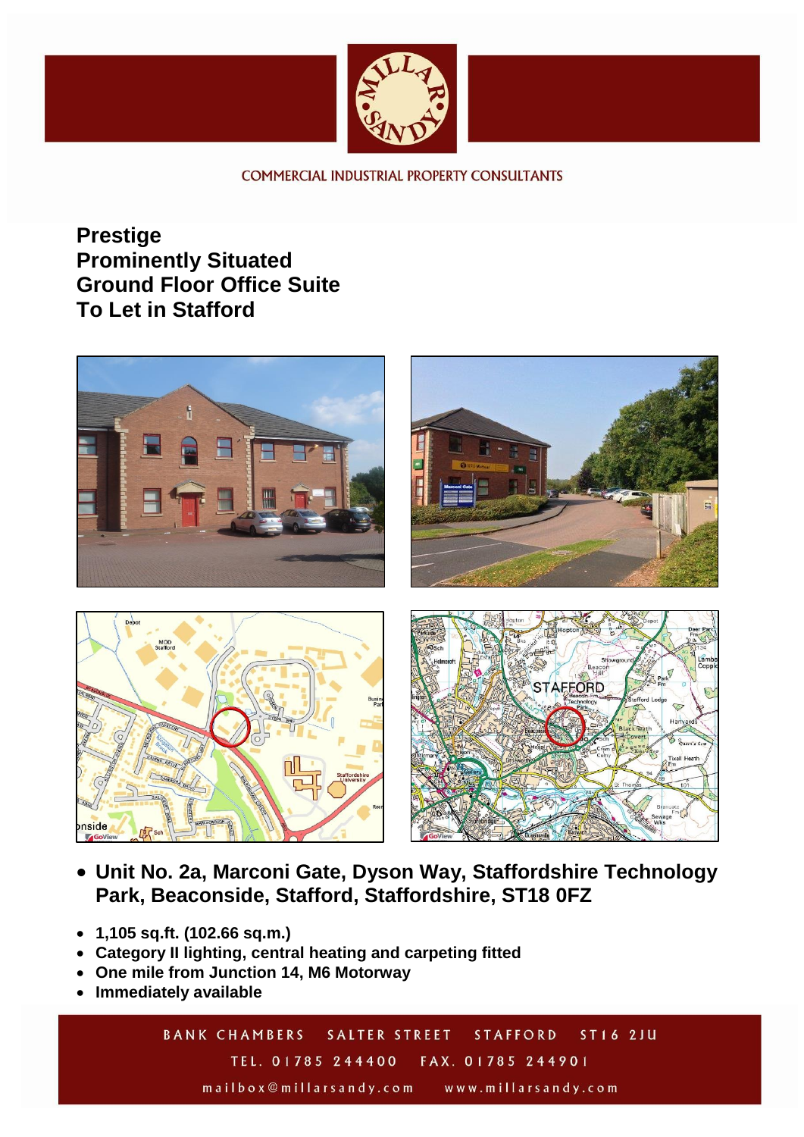

**COMMERCIAL INDUSTRIAL PROPERTY CONSULTANTS** 

**Prestige Prominently Situated Ground Floor Office Suite To Let in Stafford**



- **Unit No. 2a, Marconi Gate, Dyson Way, Staffordshire Technology Park, Beaconside, Stafford, Staffordshire, ST18 0FZ**
- **1,105 sq.ft. (102.66 sq.m.)**
- **Category II lighting, central heating and carpeting fitted**
- **One mile from Junction 14, M6 Motorway**
- **Immediately available**

**BANK CHAMBERS SALTER STREET** ST16 2JU **STAFFORD** TEL. 01785 244400 FAX. 01785 244901

mailbox@millarsandy.com www.millarsandy.com